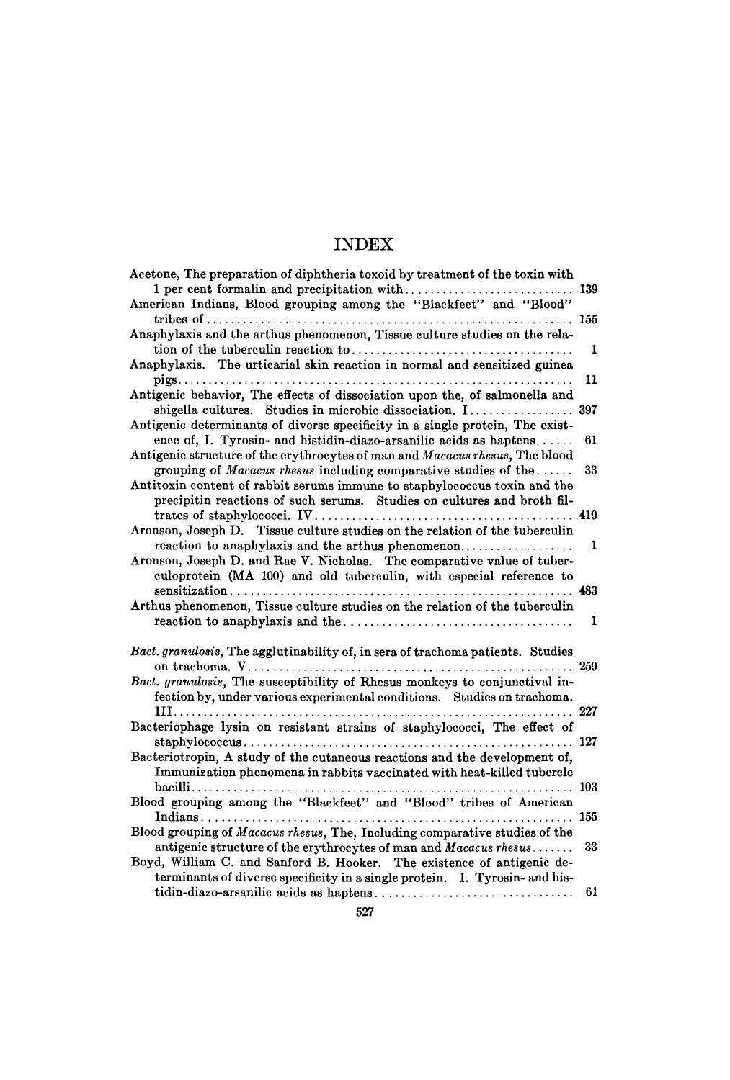| Acetone, The preparation of diphtheria toxoid by treatment of the toxin with                                                                   | 139 |
|------------------------------------------------------------------------------------------------------------------------------------------------|-----|
| American Indians, Blood grouping among the "Blackfeet" and "Blood"                                                                             |     |
|                                                                                                                                                | 155 |
| Anaphylaxis and the arthus phenomenon, Tissue culture studies on the rela-                                                                     |     |
|                                                                                                                                                | 1   |
| Anaphylaxis. The urticarial skin reaction in normal and sensitized guinea                                                                      |     |
|                                                                                                                                                | 11  |
| Antigenic behavior, The effects of dissociation upon the, of salmonella and                                                                    |     |
| shigella cultures. Studies in microbic dissociation. I                                                                                         | 397 |
| Antigenic determinants of diverse specificity in a single protein, The exist-                                                                  |     |
| ence of, I. Tyrosin- and histidin-diazo-arsanilic acids as haptens                                                                             | 61  |
| Antigenic structure of the erythrocytes of man and Macacus rhesus, The blood                                                                   |     |
| grouping of Macacus rhesus including comparative studies of the                                                                                | 33  |
| Antitoxin content of rabbit serums immune to staphylococcus toxin and the                                                                      |     |
| precipitin reactions of such serums. Studies on cultures and broth fil-                                                                        |     |
|                                                                                                                                                | 419 |
| Aronson, Joseph D. Tissue culture studies on the relation of the tuberculin                                                                    |     |
| reaction to anaphylaxis and the arthus phenomenon                                                                                              | 1   |
| Aronson, Joseph D. and Rae V. Nicholas. The comparative value of tuber-<br>culoprotein (MA 100) and old tuberculin, with especial reference to |     |
|                                                                                                                                                | 483 |
| Arthus phenomenon, Tissue culture studies on the relation of the tuberculin                                                                    |     |
|                                                                                                                                                | 1   |
|                                                                                                                                                |     |
| Bact. granulosis, The agglutinability of, in sera of trachoma patients. Studies                                                                |     |
|                                                                                                                                                | 259 |
| Bact. granulosis, The susceptibility of Rhesus monkeys to conjunctival in-                                                                     |     |
| fection by, under various experimental conditions. Studies on trachoma.                                                                        |     |
|                                                                                                                                                | 227 |
| Bacteriophage lysin on resistant strains of staphylococci, The effect of                                                                       |     |
|                                                                                                                                                | 127 |
| Bacteriotropin, A study of the cutaneous reactions and the development of,                                                                     |     |
| Immunization phenomena in rabbits vaccinated with heat-killed tubercle                                                                         |     |
|                                                                                                                                                |     |
| Blood grouping among the "Blackfeet" and "Blood" tribes of American                                                                            |     |
| Indians                                                                                                                                        | 155 |
| Blood grouping of Macacus rhesus, The, Including comparative studies of the                                                                    |     |
| antigenic structure of the erythrocytes of man and Macacus rhesus                                                                              | 33  |
| Boyd, William C. and Sanford B. Hooker. The existence of antigenic de-                                                                         |     |
| terminants of diverse specificity in a single protein. I. Tyrosin- and his-                                                                    |     |
|                                                                                                                                                | 61  |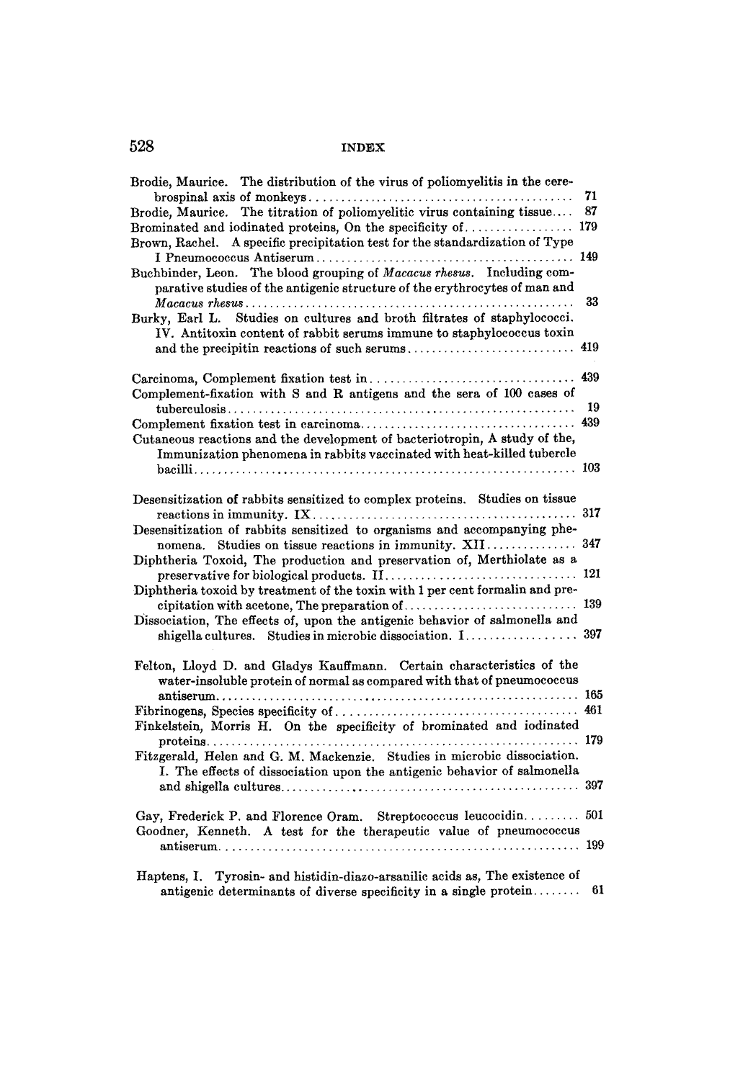| Brodie, Maurice. The distribution of the virus of poliomyelitis in the cere-<br>Brodie, Maurice. The titration of poliomyelitic virus containing tissue<br>Brominated and iodinated proteins, On the specificity of  179<br>Brown, Rachel. A specific precipitation test for the standardization of Type<br>Buchbinder, Leon. The blood grouping of Macacus rhesus. Including com-<br>parative studies of the antigenic structure of the erythrocytes of man and<br>Studies on cultures and broth filtrates of staphylococci.<br>Burky, Earl L.<br>IV. Antitoxin content of rabbit serums immune to staphylococcus toxin<br>and the precipitin reactions of such serums<br>Complement-fixation with S and R antigens and the sera of 100 cases of<br>Cutaneous reactions and the development of bacteriotropin, A study of the,<br>Immunization phenomena in rabbits vaccinated with heat-killed tubercle | 419 |
|-----------------------------------------------------------------------------------------------------------------------------------------------------------------------------------------------------------------------------------------------------------------------------------------------------------------------------------------------------------------------------------------------------------------------------------------------------------------------------------------------------------------------------------------------------------------------------------------------------------------------------------------------------------------------------------------------------------------------------------------------------------------------------------------------------------------------------------------------------------------------------------------------------------|-----|
|                                                                                                                                                                                                                                                                                                                                                                                                                                                                                                                                                                                                                                                                                                                                                                                                                                                                                                           |     |
|                                                                                                                                                                                                                                                                                                                                                                                                                                                                                                                                                                                                                                                                                                                                                                                                                                                                                                           |     |
|                                                                                                                                                                                                                                                                                                                                                                                                                                                                                                                                                                                                                                                                                                                                                                                                                                                                                                           |     |
|                                                                                                                                                                                                                                                                                                                                                                                                                                                                                                                                                                                                                                                                                                                                                                                                                                                                                                           |     |
|                                                                                                                                                                                                                                                                                                                                                                                                                                                                                                                                                                                                                                                                                                                                                                                                                                                                                                           |     |
|                                                                                                                                                                                                                                                                                                                                                                                                                                                                                                                                                                                                                                                                                                                                                                                                                                                                                                           |     |
|                                                                                                                                                                                                                                                                                                                                                                                                                                                                                                                                                                                                                                                                                                                                                                                                                                                                                                           |     |
| Desensitization of rabbits sensitized to complex proteins. Studies on tissue                                                                                                                                                                                                                                                                                                                                                                                                                                                                                                                                                                                                                                                                                                                                                                                                                              |     |
| Desensitization of rabbits sensitized to organisms and accompanying phe-<br>nomena. Studies on tissue reactions in immunity. XII                                                                                                                                                                                                                                                                                                                                                                                                                                                                                                                                                                                                                                                                                                                                                                          |     |
| Diphtheria Toxoid, The production and preservation of, Merthiolate as a                                                                                                                                                                                                                                                                                                                                                                                                                                                                                                                                                                                                                                                                                                                                                                                                                                   |     |
| Diphtheria toxoid by treatment of the toxin with 1 per cent formalin and pre-<br>cipitation with acetone, The preparation of                                                                                                                                                                                                                                                                                                                                                                                                                                                                                                                                                                                                                                                                                                                                                                              |     |
| Dissociation, The effects of, upon the antigenic behavior of salmonella and                                                                                                                                                                                                                                                                                                                                                                                                                                                                                                                                                                                                                                                                                                                                                                                                                               |     |
| Felton, Lloyd D. and Gladys Kauffmann. Certain characteristics of the<br>water-insoluble protein of normal as compared with that of pneumococcus                                                                                                                                                                                                                                                                                                                                                                                                                                                                                                                                                                                                                                                                                                                                                          |     |
| Finkelstein, Morris H. On the specificity of brominated and iodinated                                                                                                                                                                                                                                                                                                                                                                                                                                                                                                                                                                                                                                                                                                                                                                                                                                     |     |
|                                                                                                                                                                                                                                                                                                                                                                                                                                                                                                                                                                                                                                                                                                                                                                                                                                                                                                           |     |
| Fitzgerald, Helen and G. M. Mackenzie. Studies in microbic dissociation.<br>I. The effects of dissociation upon the antigenic behavior of salmonella                                                                                                                                                                                                                                                                                                                                                                                                                                                                                                                                                                                                                                                                                                                                                      |     |
| Gay, Frederick P. and Florence Oram. Streptococcus leucocidin 501<br>Goodner, Kenneth. A test for the therapeutic value of pneumococcus                                                                                                                                                                                                                                                                                                                                                                                                                                                                                                                                                                                                                                                                                                                                                                   |     |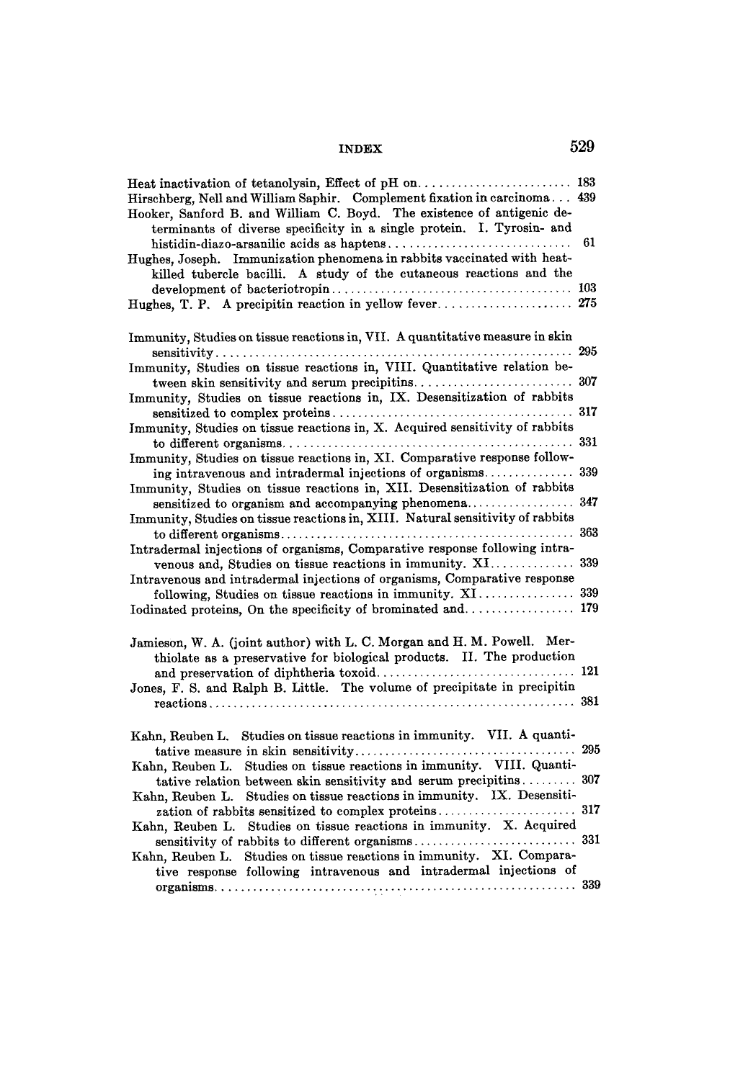| Hirschberg, Nell and William Saphir. Complement fixation in carcinoma 439<br>Hooker, Sanford B. and William C. Boyd. The existence of antigenic de- |    |
|-----------------------------------------------------------------------------------------------------------------------------------------------------|----|
| terminants of diverse specificity in a single protein. I. Tyrosin- and                                                                              |    |
|                                                                                                                                                     | 61 |
| Hughes, Joseph. Immunization phenomena in rabbits vaccinated with heat-                                                                             |    |
| killed tubercle bacilli. A study of the cutaneous reactions and the                                                                                 |    |
|                                                                                                                                                     |    |
|                                                                                                                                                     |    |
|                                                                                                                                                     |    |
| Immunity, Studies on tissue reactions in, VII. A quantitative measure in skin                                                                       |    |
|                                                                                                                                                     |    |
| Immunity, Studies on tissue reactions in, VIII. Quantitative relation be-                                                                           |    |
|                                                                                                                                                     |    |
| Immunity, Studies on tissue reactions in, IX. Desensitization of rabbits                                                                            |    |
|                                                                                                                                                     |    |
| Immunity, Studies on tissue reactions in, X. Acquired sensitivity of rabbits                                                                        |    |
|                                                                                                                                                     |    |
| Immunity, Studies on tissue reactions in, XI. Comparative response follow-                                                                          |    |
| ing intravenous and intradermal injections of organisms 339                                                                                         |    |
| Immunity, Studies on tissue reactions in, XII. Desensitization of rabbits                                                                           |    |
|                                                                                                                                                     |    |
| Immunity, Studies on tissue reactions in, XIII. Natural sensitivity of rabbits                                                                      |    |
|                                                                                                                                                     |    |
| Intradermal injections of organisms, Comparative response following intra-                                                                          |    |
|                                                                                                                                                     |    |
| Intravenous and intradermal injections of organisms, Comparative response                                                                           |    |
| following, Studies on tissue reactions in immunity. XI 339                                                                                          |    |
|                                                                                                                                                     |    |
|                                                                                                                                                     |    |
| Jamieson, W. A. (joint author) with L. C. Morgan and H. M. Powell. Mer-                                                                             |    |
| thiolate as a preservative for biological products. II. The production                                                                              |    |
|                                                                                                                                                     |    |
| Jones, F. S. and Ralph B. Little. The volume of precipitate in precipitin                                                                           |    |
|                                                                                                                                                     |    |
| Kahn, Reuben L. Studies on tissue reactions in immunity. VII. A quanti-                                                                             |    |
|                                                                                                                                                     |    |
| Kahn, Reuben L. Studies on tissue reactions in immunity. VIII. Quanti-                                                                              |    |
| tative relation between skin sensitivity and serum precipitins 307                                                                                  |    |
| Kahn, Reuben L. Studies on tissue reactions in immunity. IX. Desensiti-                                                                             |    |
|                                                                                                                                                     |    |
| Kahn, Reuben L. Studies on tissue reactions in immunity. X. Acquired                                                                                |    |
|                                                                                                                                                     |    |
| Kahn, Reuben L. Studies on tissue reactions in immunity. XI. Compara-                                                                               |    |
| tive response following intravenous and intradermal injections of                                                                                   |    |
|                                                                                                                                                     |    |
|                                                                                                                                                     |    |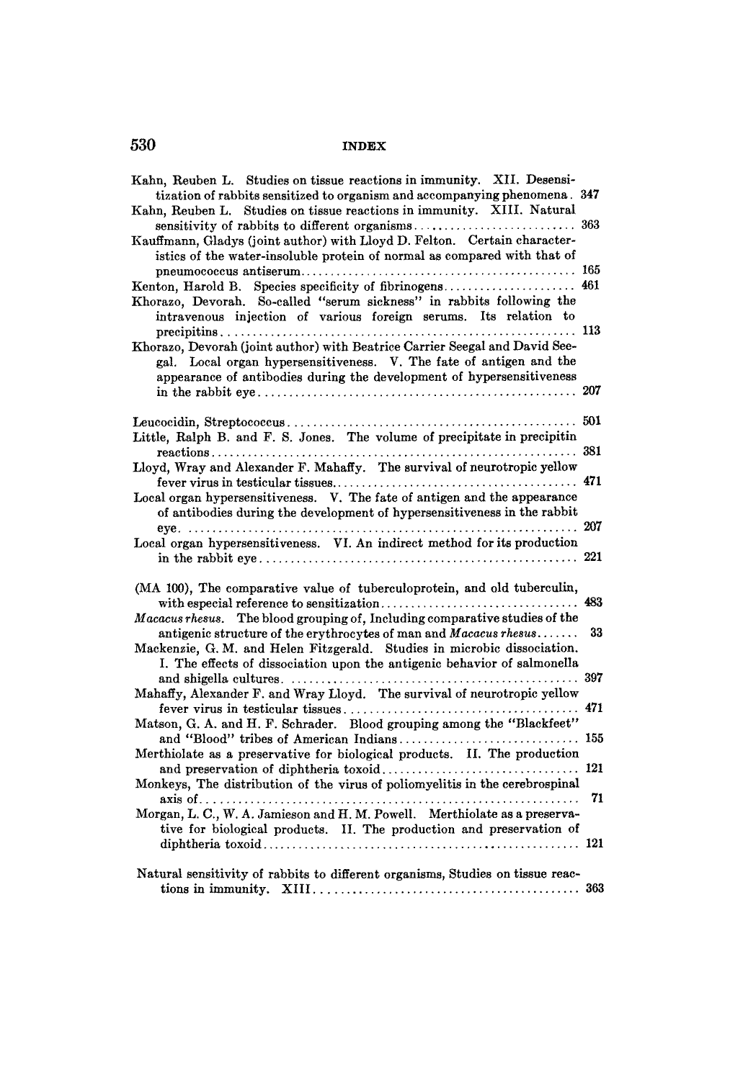| Kahn, Reuben L. Studies on tissue reactions in immunity. XII. Desensi-         |     |
|--------------------------------------------------------------------------------|-----|
| tization of rabbits sensitized to organism and accompanying phenomena. 347     |     |
| Kahn, Reuben L. Studies on tissue reactions in immunity. XIII. Natural         |     |
|                                                                                |     |
| Kauffmann, Gladys (joint author) with Lloyd D. Felton. Certain character-      |     |
| istics of the water-insoluble protein of normal as compared with that of       |     |
|                                                                                |     |
| Kenton, Harold B. Species specificity of fibrinogens 461                       |     |
| Khorazo, Devorah. So-called "serum sickness" in rabbits following the          |     |
| intravenous injection of various foreign serums. Its relation to               |     |
|                                                                                |     |
| Khorazo, Devorah (joint author) with Beatrice Carrier Seegal and David See-    |     |
| gal. Local organ hypersensitiveness. V. The fate of antigen and the            |     |
| appearance of antibodies during the development of hypersensitiveness          |     |
|                                                                                |     |
|                                                                                |     |
|                                                                                |     |
| Little, Ralph B. and F. S. Jones. The volume of precipitate in precipitin      |     |
|                                                                                |     |
| Lloyd, Wray and Alexander F. Mahaffy. The survival of neurotropic yellow       |     |
|                                                                                |     |
| Local organ hypersensitiveness. V. The fate of antigen and the appearance      |     |
| of antibodies during the development of hypersensitiveness in the rabbit       |     |
| Local organ hypersensitiveness. VI. An indirect method for its production      |     |
|                                                                                |     |
|                                                                                |     |
| (MA 100), The comparative value of tuberculoprotein, and old tuberculin,       |     |
|                                                                                |     |
| Macacus rhesus. The blood grouping of, Including comparative studies of the    |     |
| antigenic structure of the erythrocytes of man and Macacus rhesus              | 33  |
| Mackenzie, G. M. and Helen Fitzgerald. Studies in microbic dissociation.       |     |
| I. The effects of dissociation upon the antigenic behavior of salmonella       |     |
|                                                                                |     |
| Mahaffy, Alexander F. and Wray Lloyd. The survival of neurotropic yellow       |     |
|                                                                                | 471 |
| Matson, G. A. and H. F. Schrader. Blood grouping among the "Blackfeet"         |     |
|                                                                                |     |
| Merthiolate as a preservative for biological products. II. The production      |     |
|                                                                                |     |
| Monkeys, The distribution of the virus of poliomyelitis in the cerebrospinal   |     |
|                                                                                | 71  |
| Morgan, L. C., W. A. Jamieson and H. M. Powell. Merthiolate as a preserva-     |     |
| tive for biological products. II. The production and preservation of           |     |
|                                                                                |     |
|                                                                                |     |
| Natural sensitivity of rabbits to different organisms, Studies on tissue reac- |     |
|                                                                                |     |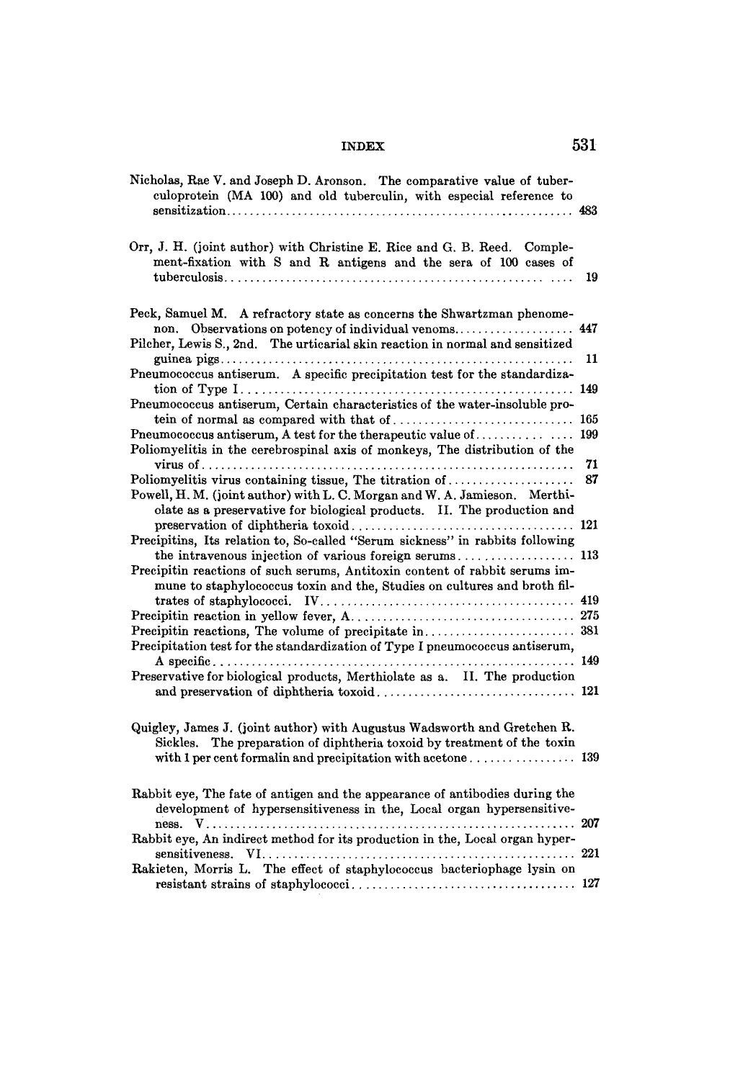| Nicholas, Rae V. and Joseph D. Aronson. The comparative value of tuber-<br>culoprotein (MA 100) and old tuberculin, with especial reference to                                                                   |     |
|------------------------------------------------------------------------------------------------------------------------------------------------------------------------------------------------------------------|-----|
| Orr, J. H. (joint author) with Christine E. Rice and G. B. Reed. Comple-<br>ment-fixation with S and R antigens and the sera of 100 cases of                                                                     | 19  |
| Peck, Samuel M. A refractory state as concerns the Shwartzman phenome-<br>Observations on potency of individual venoms 447<br>non.                                                                               |     |
| Pilcher, Lewis S., 2nd. The urticarial skin reaction in normal and sensitized                                                                                                                                    | 11  |
| Pneumococcus antiserum. A specific precipitation test for the standardiza-                                                                                                                                       |     |
| Pneumococcus antiserum, Certain characteristics of the water-insoluble pro-                                                                                                                                      |     |
|                                                                                                                                                                                                                  | 165 |
| Poliomyelitis in the cerebrospinal axis of monkeys, The distribution of the                                                                                                                                      |     |
|                                                                                                                                                                                                                  | 71  |
| Poliomyelitis virus containing tissue, The titration of<br>Powell, H. M. (joint author) with L. C. Morgan and W. A. Jamieson. Merthi-<br>olate as a preservative for biological products. II. The production and | 87  |
| Precipitins, Its relation to, So-called "Serum sickness" in rabbits following                                                                                                                                    |     |
|                                                                                                                                                                                                                  |     |
| Precipitin reactions of such serums, Antitoxin content of rabbit serums im-<br>mune to staphylococcus toxin and the, Studies on cultures and broth fil-                                                          |     |
|                                                                                                                                                                                                                  |     |
|                                                                                                                                                                                                                  |     |
| Precipitation test for the standardization of Type I pneumococcus antiserum,                                                                                                                                     |     |
| Preservative for biological products, Merthiolate as a. II. The production                                                                                                                                       |     |
|                                                                                                                                                                                                                  |     |
| Quigley, James J. (joint author) with Augustus Wadsworth and Gretchen R.<br>The preparation of diphtheria toxoid by treatment of the toxin<br>Sickles.                                                           |     |
| Rabbit eye, The fate of antigen and the appearance of antibodies during the<br>development of hypersensitiveness in the, Local organ hypersensitive-                                                             |     |
| Rabbit eye, An indirect method for its production in the, Local organ hyper-                                                                                                                                     | 207 |
| Rakieten, Morris L. The effect of staphylococcus bacteriophage lysin on                                                                                                                                          | 221 |
|                                                                                                                                                                                                                  |     |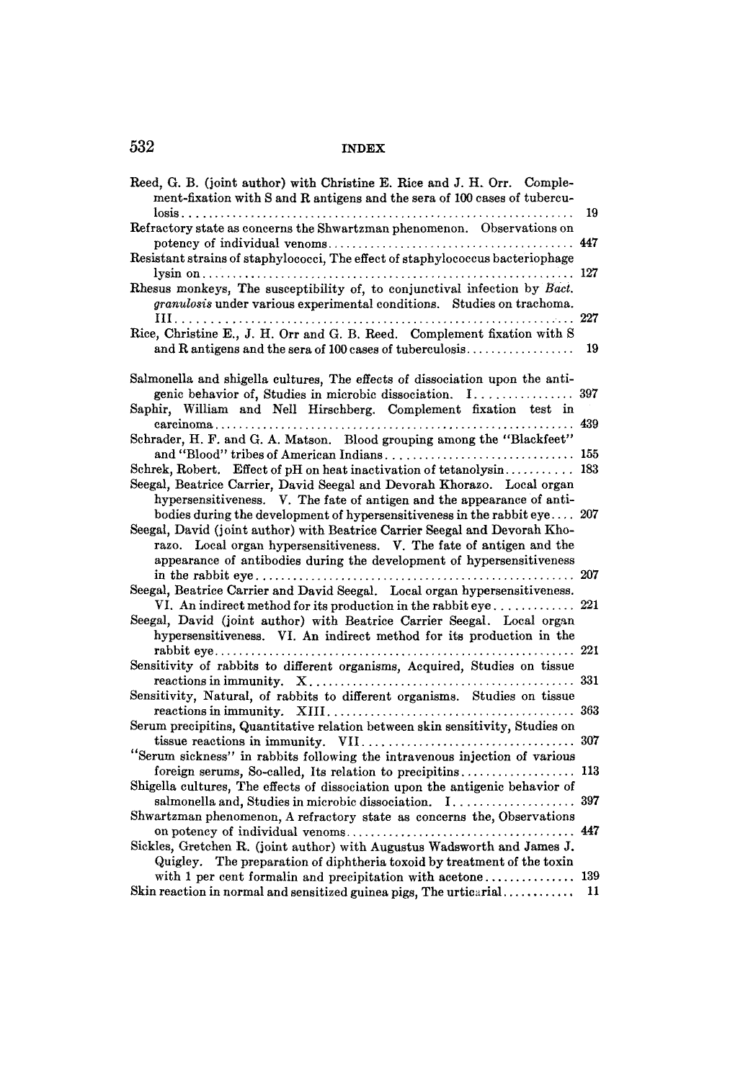| Reed, G. B. (joint author) with Christine E. Rice and J. H. Orr. Comple-<br>ment-fixation with S and R antigens and the sera of 100 cases of tubercu-                                                                          |     |
|--------------------------------------------------------------------------------------------------------------------------------------------------------------------------------------------------------------------------------|-----|
| $\text{lossis} \dots \dots \dots \dots \dots \dots \dots \dots$<br>Refractory state as concerns the Shwartzman phenomenon. Observations on                                                                                     | 19  |
| Resistant strains of staphylococci, The effect of staphylococcus bacteriophage                                                                                                                                                 |     |
| Rhesus monkeys, The susceptibility of, to conjunctival infection by Bact.<br>granulosis under various experimental conditions. Studies on trachoma.                                                                            | 227 |
| Rice, Christine E., J. H. Orr and G. B. Reed. Complement fixation with S<br>and R antigens and the sera of 100 cases of tuberculosis                                                                                           | 19  |
| Salmonella and shigella cultures, The effects of dissociation upon the anti-<br>genic behavior of, Studies in microbic dissociation. I                                                                                         | 397 |
| Saphir, William and Nell Hirschberg. Complement fixation test in                                                                                                                                                               | 439 |
| Schrader, H. F. and G. A. Matson. Blood grouping among the "Blackfeet"                                                                                                                                                         |     |
| and "Blood" tribes of American Indians 155<br>Schrek, Robert. Effect of pH on heat inactivation of tetanolysin 183                                                                                                             |     |
| Seegal, Beatrice Carrier, David Seegal and Devorah Khorazo. Local organ<br>hypersensitiveness. V. The fate of antigen and the appearance of anti-<br>bodies during the development of hypersensitiveness in the rabbit eye 207 |     |
| Seegal, David (joint author) with Beatrice Carrier Seegal and Devorah Kho-<br>razo. Local organ hypersensitiveness. V. The fate of antigen and the<br>appearance of antibodies during the development of hypersensitiveness    | 207 |
| Seegal, Beatrice Carrier and David Seegal. Local organ hypersensitiveness.<br>VI. An indirect method for its production in the rabbit eye 221                                                                                  |     |
| Seegal, David (joint author) with Beatrice Carrier Seegal. Local organ<br>hypersensitiveness. VI. An indirect method for its production in the                                                                                 |     |
| Sensitivity of rabbits to different organisms, Acquired, Studies on tissue                                                                                                                                                     |     |
| Sensitivity, Natural, of rabbits to different organisms. Studies on tissue                                                                                                                                                     |     |
| Serum precipitins, Quantitative relation between skin sensitivity, Studies on                                                                                                                                                  |     |
| "Serum sickness" in rabbits following the intravenous injection of various                                                                                                                                                     |     |
| foreign serums, So-called, Its relation to precipitins                                                                                                                                                                         | 113 |
| Shigella cultures, The effects of dissociation upon the antigenic behavior of                                                                                                                                                  |     |
| Shwartzman phenomenon, A refractory state as concerns the, Observations                                                                                                                                                        | 447 |
| Sickles, Gretchen R. (joint author) with Augustus Wadsworth and James J.<br>Quigley. The preparation of diphtheria toxoid by treatment of the toxin                                                                            |     |
| with 1 per cent formalin and precipitation with acetone 139<br>Skin reaction in normal and sensitized guinea pigs, The urticarial                                                                                              | 11  |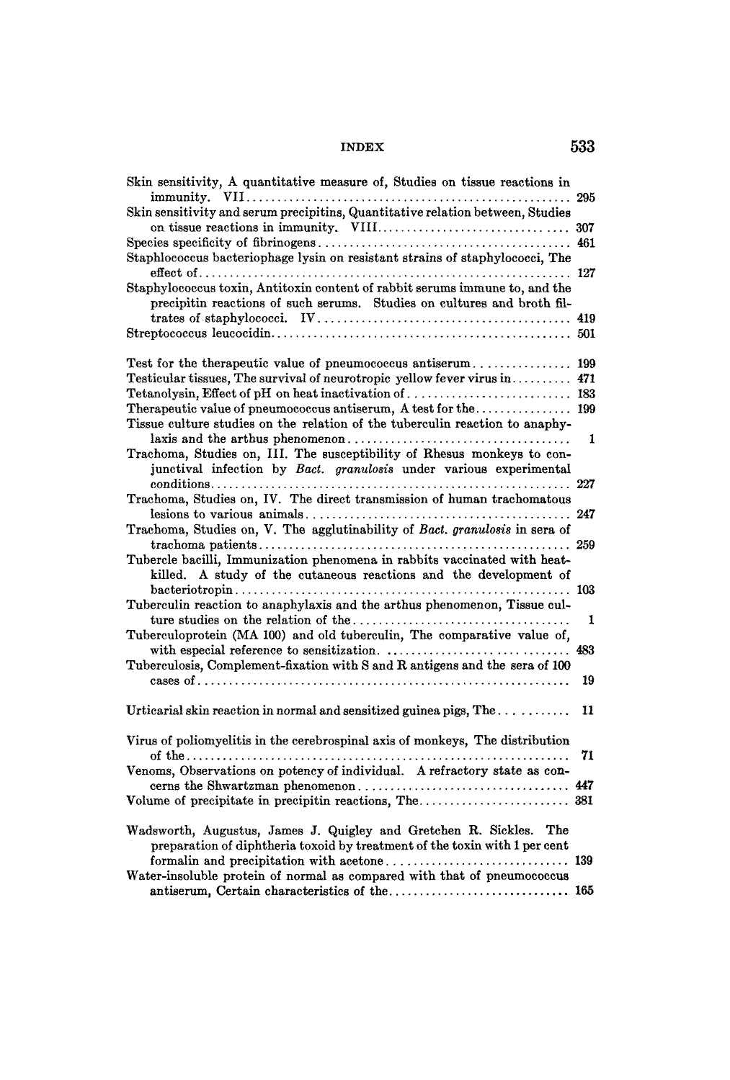| Skin sensitivity, A quantitative measure of, Studies on tissue reactions in    |     |
|--------------------------------------------------------------------------------|-----|
|                                                                                |     |
| Skin sensitivity and serum precipitins, Quantitative relation between, Studies |     |
|                                                                                |     |
|                                                                                | 461 |
| Staphlococcus bacteriophage lysin on resistant strains of staphylococci, The   |     |
|                                                                                |     |
| Staphylococcus toxin, Antitoxin content of rabbit serums immune to, and the    |     |
| precipitin reactions of such serums. Studies on cultures and broth fil-        |     |
|                                                                                |     |
|                                                                                |     |
|                                                                                |     |
| Test for the therapeutic value of pneumococcus antiserum 199                   |     |
| Testicular tissues, The survival of neurotropic yellow fever virus in 471      |     |
|                                                                                |     |
|                                                                                |     |
| Tissue culture studies on the relation of the tuberculin reaction to anaphy-   |     |
|                                                                                | 1   |
| Trachoma, Studies on, III. The susceptibility of Rhesus monkeys to con-        |     |
| junctival infection by Bact. granulosis under various experimental             |     |
|                                                                                |     |
| Trachoma, Studies on, IV. The direct transmission of human trachomatous        |     |
|                                                                                | 247 |
| Trachoma, Studies on, V. The agglutinability of Bact. granulosis in sera of    |     |
|                                                                                |     |
| Tubercle bacilli, Immunization phenomena in rabbits vaccinated with heat-      |     |
| killed. A study of the cutaneous reactions and the development of              |     |
|                                                                                | 103 |
| Tuberculin reaction to anaphylaxis and the arthus phenomenon, Tissue cul-      |     |
|                                                                                | 1   |
| Tuberculoprotein (MA 100) and old tuberculin, The comparative value of,        |     |
|                                                                                | 483 |
| Tuberculosis, Complement-fixation with S and R antigens and the sera of 100    |     |
|                                                                                |     |
|                                                                                | 19  |
| Urticarial skin reaction in normal and sensitized guinea pigs, The             | 11  |
|                                                                                |     |
| Virus of poliomyelitis in the cerebrospinal axis of monkeys, The distribution  |     |
|                                                                                | 71  |
| Venoms, Observations on potency of individual. A refractory state as con-      |     |
|                                                                                |     |
|                                                                                |     |
|                                                                                |     |
| Wadsworth, Augustus, James J. Quigley and Gretchen R. Sickles. The             |     |
| preparation of diphtheria toxoid by treatment of the toxin with 1 per cent     |     |
|                                                                                |     |
| Water-insoluble protein of normal as compared with that of pneumococcus        |     |
| antiserum, Certain characteristics of the 165                                  |     |